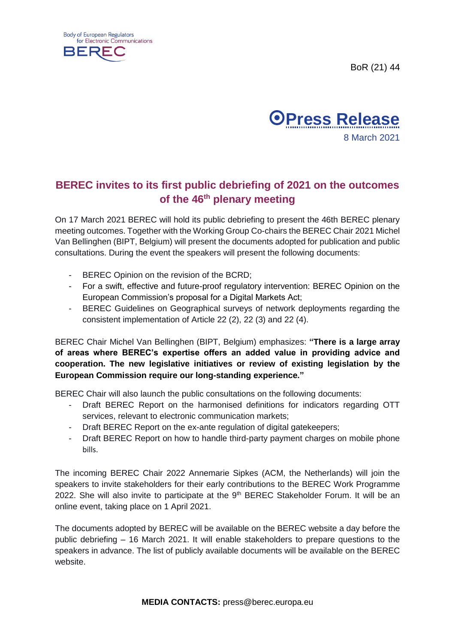





## **BEREC invites to its first public debriefing of 2021 on the outcomes of the 46th plenary meeting**

On 17 March 2021 BEREC will hold its public debriefing to present the 46th BEREC plenary meeting outcomes. Together with the Working Group Co-chairs the BEREC Chair 2021 Michel Van Bellinghen (BIPT, Belgium) will present the documents adopted for publication and public consultations. During the event the speakers will present the following documents:

- BEREC Opinion on the revision of the BCRD;
- For a swift, effective and future-proof regulatory intervention: BEREC Opinion on the European Commission's proposal for a Digital Markets Act;
- BEREC Guidelines on Geographical surveys of network deployments regarding the consistent implementation of Article 22 (2), 22 (3) and 22 (4).

BEREC Chair Michel Van Bellinghen (BIPT, Belgium) emphasizes: **"There is a large array of areas where BEREC's expertise offers an added value in providing advice and cooperation. The new legislative initiatives or review of existing legislation by the European Commission require our long-standing experience."**

BEREC Chair will also launch the public consultations on the following documents:

- Draft BEREC Report on the harmonised definitions for indicators regarding OTT services, relevant to electronic communication markets;
- Draft BEREC Report on the ex-ante regulation of digital gatekeepers;
- Draft BEREC Report on how to handle third-party payment charges on mobile phone bills.

The incoming BEREC Chair 2022 Annemarie Sipkes (ACM, the Netherlands) will join the speakers to invite stakeholders for their early contributions to the BEREC Work Programme 2022. She will also invite to participate at the 9<sup>th</sup> BEREC Stakeholder Forum. It will be an online event, taking place on 1 April 2021.

The documents adopted by BEREC will be available on the BEREC website a day before the public debriefing – 16 March 2021. It will enable stakeholders to prepare questions to the speakers in advance. The list of publicly available documents will be available on the BEREC website.